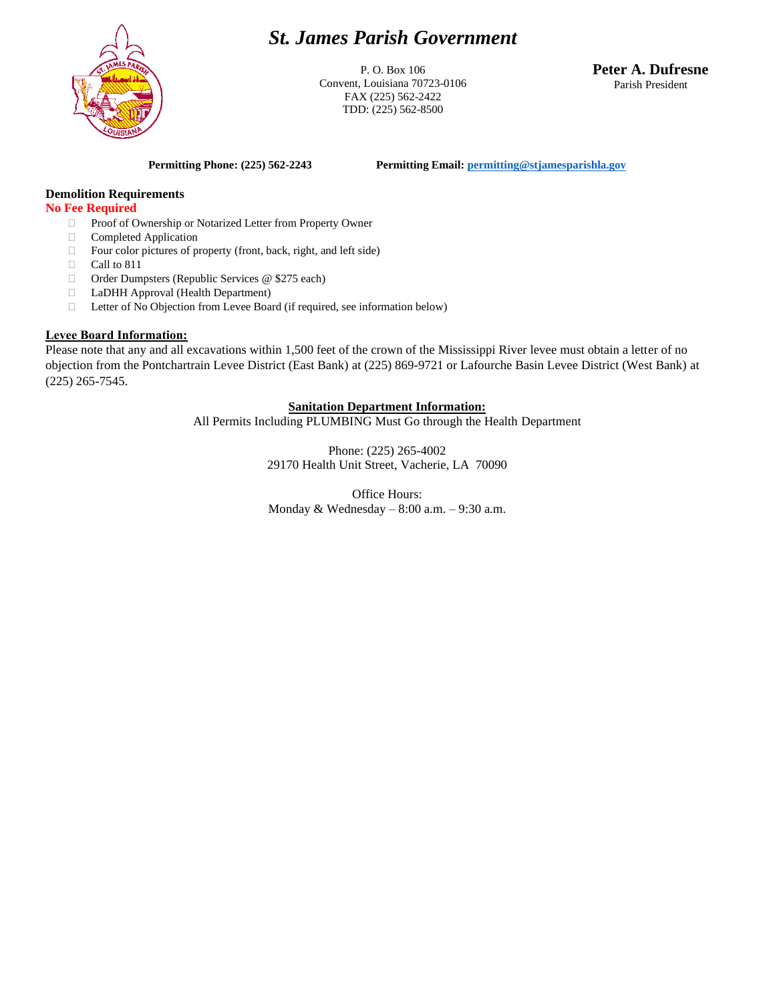

# *St. James Parish Government*

P. O. Box 106 Convent, Louisiana 70723-0106 FAX (225) 562-2422 TDD: (225) 562-8500

**Peter A. Dufresne** Parish President

**Permitting Phone: (225) 562-2243 Permitting Email[: permitting@stjamesparishla.gov](mailto:permitting@stjamesparishla.gov)**

## **Demolition Requirements**

#### **No Fee Required**

- □ Proof of Ownership or Notarized Letter from Property Owner
- Completed Application
- $\Box$  Four color pictures of property (front, back, right, and left side)
- $\Box$  Call to 811
- □ Order Dumpsters (Republic Services @ \$275 each)
- LaDHH Approval (Health Department)
- Letter of No Objection from Levee Board (if required, see information below)

### **Levee Board Information:**

Please note that any and all excavations within 1,500 feet of the crown of the Mississippi River levee must obtain a letter of no objection from the Pontchartrain Levee District (East Bank) at (225) 869-9721 or Lafourche Basin Levee District (West Bank) at (225) 265-7545.

#### **Sanitation Department Information:**

All Permits Including PLUMBING Must Go through the Health Department

Phone: (225) 265-4002 29170 Health Unit Street, Vacherie, LA 70090

Office Hours: Monday & Wednesday – 8:00 a.m. – 9:30 a.m.